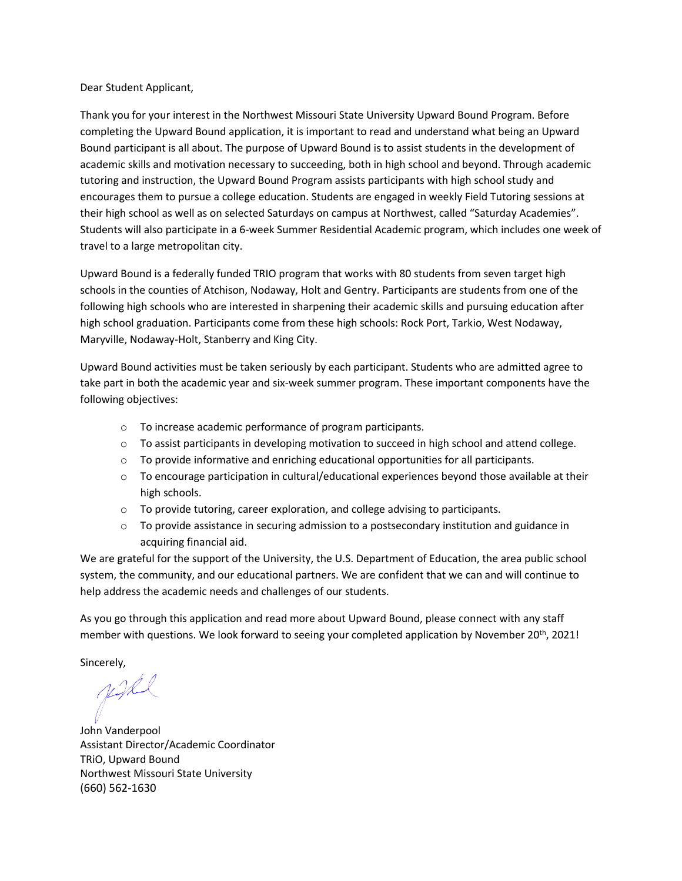#### Dear Student Applicant,

Thank you for your interest in the Northwest Missouri State University Upward Bound Program. Before completing the Upward Bound application, it is important to read and understand what being an Upward Bound participant is all about. The purpose of Upward Bound is to assist students in the development of academic skills and motivation necessary to succeeding, both in high school and beyond. Through academic tutoring and instruction, the Upward Bound Program assists participants with high school study and encourages them to pursue a college education. Students are engaged in weekly Field Tutoring sessions at their high school as well as on selected Saturdays on campus at Northwest, called "Saturday Academies". Students will also participate in a 6-week Summer Residential Academic program, which includes one week of travel to a large metropolitan city.

Upward Bound is a federally funded TRIO program that works with 80 students from seven target high schools in the counties of Atchison, Nodaway, Holt and Gentry. Participants are students from one of the following high schools who are interested in sharpening their academic skills and pursuing education after high school graduation. Participants come from these high schools: Rock Port, Tarkio, West Nodaway, Maryville, Nodaway-Holt, Stanberry and King City.

Upward Bound activities must be taken seriously by each participant. Students who are admitted agree to take part in both the academic year and six-week summer program. These important components have the following objectives:

- o To increase academic performance of program participants.
- $\circ$  To assist participants in developing motivation to succeed in high school and attend college.
- $\circ$  To provide informative and enriching educational opportunities for all participants.
- o To encourage participation in cultural/educational experiences beyond those available at their high schools.
- o To provide tutoring, career exploration, and college advising to participants.
- $\circ$  To provide assistance in securing admission to a postsecondary institution and guidance in acquiring financial aid.

We are grateful for the support of the University, the U.S. Department of Education, the area public school system, the community, and our educational partners. We are confident that we can and will continue to help address the academic needs and challenges of our students.

As you go through this application and read more about Upward Bound, please connect with any staff member with questions. We look forward to seeing your completed application by November 20<sup>th</sup>, 2021!

Sincerely,

justel

John Vanderpool Assistant Director/Academic Coordinator TRiO, Upward Bound Northwest Missouri State University (660) 562-1630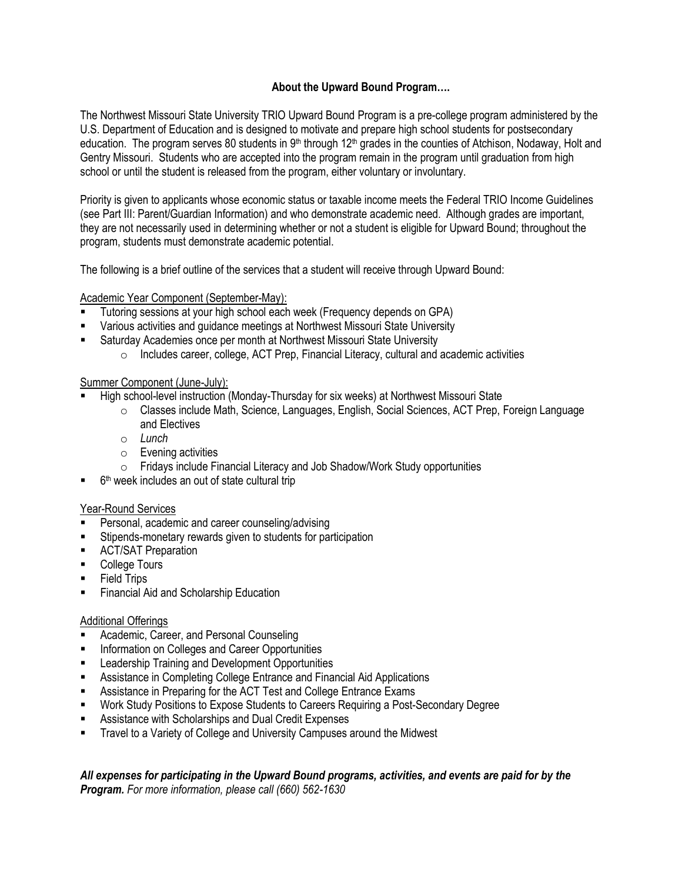# **About the Upward Bound Program….**

The Northwest Missouri State University TRIO Upward Bound Program is a pre-college program administered by the U.S. Department of Education and is designed to motivate and prepare high school students for postsecondary education. The program serves 80 students in 9<sup>th</sup> through 12<sup>th</sup> grades in the counties of Atchison, Nodaway, Holt and Gentry Missouri. Students who are accepted into the program remain in the program until graduation from high school or until the student is released from the program, either voluntary or involuntary.

Priority is given to applicants whose economic status or taxable income meets the Federal TRIO Income Guidelines (see Part III: Parent/Guardian Information) and who demonstrate academic need. Although grades are important, they are not necessarily used in determining whether or not a student is eligible for Upward Bound; throughout the program, students must demonstrate academic potential.

The following is a brief outline of the services that a student will receive through Upward Bound:

## Academic Year Component (September-May):

- Tutoring sessions at your high school each week (Frequency depends on GPA)
- Various activities and guidance meetings at Northwest Missouri State University
- Saturday Academies once per month at Northwest Missouri State University
	- o Includes career, college, ACT Prep, Financial Literacy, cultural and academic activities

### Summer Component (June-July):

- High school-level instruction (Monday-Thursday for six weeks) at Northwest Missouri State
	- o Classes include Math, Science, Languages, English, Social Sciences, ACT Prep, Foreign Language and Electives
	- o *Lunch*
	- o Evening activities
	- o Fridays include Financial Literacy and Job Shadow/Work Study opportunities
- 6<sup>th</sup> week includes an out of state cultural trip

### Year-Round Services

- Personal, academic and career counseling/advising
- Stipends-monetary rewards given to students for participation
- ACT/SAT Preparation
- College Tours
- **Field Trips**
- **Financial Aid and Scholarship Education**

### Additional Offerings

- Academic, Career, and Personal Counseling
- Information on Colleges and Career Opportunities
- Leadership Training and Development Opportunities
- Assistance in Completing College Entrance and Financial Aid Applications
- Assistance in Preparing for the ACT Test and College Entrance Exams
- Work Study Positions to Expose Students to Careers Requiring a Post-Secondary Degree
- Assistance with Scholarships and Dual Credit Expenses
- Travel to a Variety of College and University Campuses around the Midwest

*All expenses for participating in the Upward Bound programs, activities, and events are paid for by the Program. For more information, please call (660) 562-1630*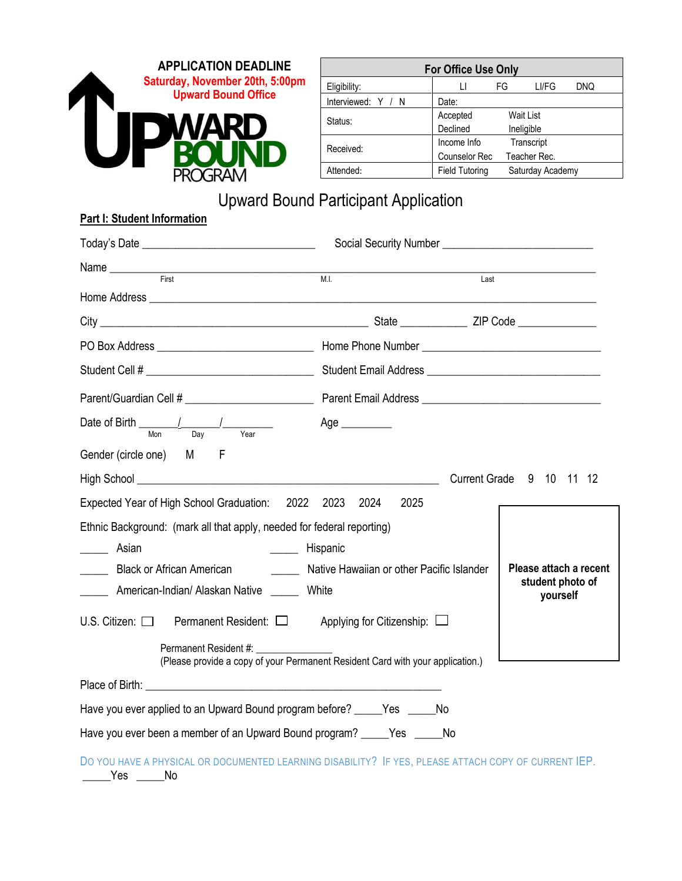

| <b>For Office Use Only</b> |                       |    |                  |     |  |
|----------------------------|-----------------------|----|------------------|-----|--|
| Eligibility:               |                       | FG | LI/FG            | DNQ |  |
| Interviewed: Y / N         | Date:                 |    |                  |     |  |
| Status:                    | Wait List<br>Accepted |    |                  |     |  |
|                            | Declined              |    | Ineligible       |     |  |
| Received:                  | Income Info           |    | Transcript       |     |  |
|                            | <b>Counselor Rec</b>  |    | Teacher Rec.     |     |  |
| Attended:                  | <b>Field Tutoring</b> |    | Saturday Academy |     |  |

# Upward Bound Participant Application

# **Part I: Student Information**

| First                                                                                                                                                                                                                                                                                                                                                                                                                                                                                             | M.I.                                      | Last |                              |
|---------------------------------------------------------------------------------------------------------------------------------------------------------------------------------------------------------------------------------------------------------------------------------------------------------------------------------------------------------------------------------------------------------------------------------------------------------------------------------------------------|-------------------------------------------|------|------------------------------|
|                                                                                                                                                                                                                                                                                                                                                                                                                                                                                                   |                                           |      |                              |
|                                                                                                                                                                                                                                                                                                                                                                                                                                                                                                   |                                           |      |                              |
|                                                                                                                                                                                                                                                                                                                                                                                                                                                                                                   |                                           |      |                              |
|                                                                                                                                                                                                                                                                                                                                                                                                                                                                                                   |                                           |      |                              |
|                                                                                                                                                                                                                                                                                                                                                                                                                                                                                                   |                                           |      |                              |
| Date of Birth $\frac{1}{\frac{1}{\text{Mon}} \cdot \frac{1}{\text{Day}}}$<br>$\frac{1}{\sqrt{1-\frac{1}{2}}\sqrt{1-\frac{1}{2}}\sqrt{1-\frac{1}{2}}\sqrt{1-\frac{1}{2}}\sqrt{1-\frac{1}{2}}\sqrt{1-\frac{1}{2}}\sqrt{1-\frac{1}{2}}\sqrt{1-\frac{1}{2}}\sqrt{1-\frac{1}{2}}\sqrt{1-\frac{1}{2}}\sqrt{1-\frac{1}{2}}\sqrt{1-\frac{1}{2}}\sqrt{1-\frac{1}{2}}\sqrt{1-\frac{1}{2}}\sqrt{1-\frac{1}{2}}\sqrt{1-\frac{1}{2}}\sqrt{1-\frac{1}{2}}\sqrt{1-\frac{1}{2}}\sqrt{1-\frac{1}{2}}\sqrt{1-\frac$ | Age _________                             |      |                              |
| Gender (circle one) M F                                                                                                                                                                                                                                                                                                                                                                                                                                                                           |                                           |      |                              |
|                                                                                                                                                                                                                                                                                                                                                                                                                                                                                                   |                                           |      | Current Grade 9 10 11 12     |
| Expected Year of High School Graduation: 2022 2023 2024                                                                                                                                                                                                                                                                                                                                                                                                                                           | 2025                                      |      |                              |
| Ethnic Background: (mark all that apply, needed for federal reporting)                                                                                                                                                                                                                                                                                                                                                                                                                            |                                           |      |                              |
| Asian<br>______ Hispanic                                                                                                                                                                                                                                                                                                                                                                                                                                                                          |                                           |      |                              |
| Black or African American                                                                                                                                                                                                                                                                                                                                                                                                                                                                         | Native Hawaiian or other Pacific Islander |      | Please attach a recent       |
| American-Indian/Alaskan Native ______ White                                                                                                                                                                                                                                                                                                                                                                                                                                                       |                                           |      | student photo of<br>yourself |
| U.S. Citizen: $\Box$ Permanent Resident: $\Box$ Applying for Citizenship: $\Box$                                                                                                                                                                                                                                                                                                                                                                                                                  |                                           |      |                              |
| (Please provide a copy of your Permanent Resident Card with your application.)                                                                                                                                                                                                                                                                                                                                                                                                                    |                                           |      |                              |
| Place of Birth: The Contract of Birth: The Contract of Birth: The Contract of Birth:                                                                                                                                                                                                                                                                                                                                                                                                              |                                           |      |                              |
| Have you ever applied to an Upward Bound program before? _____Yes _____No                                                                                                                                                                                                                                                                                                                                                                                                                         |                                           |      |                              |
| Have you ever been a member of an Upward Bound program? _____Yes _____No                                                                                                                                                                                                                                                                                                                                                                                                                          |                                           |      |                              |
| DO YOU HAVE A PHYSICAL OR DOCUMENTED LEARNING DISABILITY? IF YES, PLEASE ATTACH COPY OF CURRENT IEP.<br>Yes<br>No.                                                                                                                                                                                                                                                                                                                                                                                |                                           |      |                              |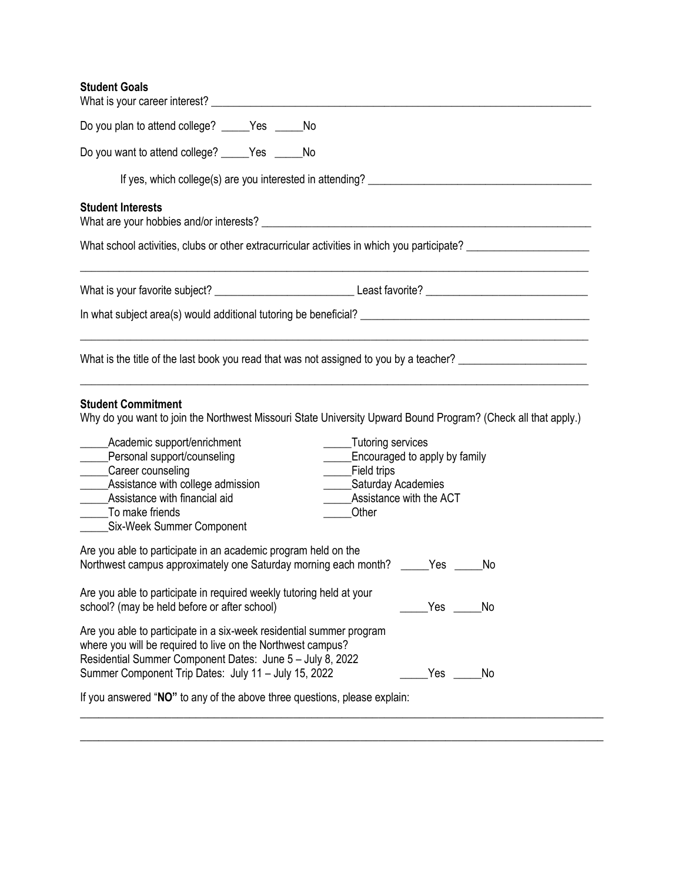# **Student Goals**

| Do you plan to attend college? _____Yes _____No                                                                                                                                                                                                                                                                                                                                                                                                                                                   |
|---------------------------------------------------------------------------------------------------------------------------------------------------------------------------------------------------------------------------------------------------------------------------------------------------------------------------------------------------------------------------------------------------------------------------------------------------------------------------------------------------|
| Do you want to attend college? _____Yes _____No                                                                                                                                                                                                                                                                                                                                                                                                                                                   |
|                                                                                                                                                                                                                                                                                                                                                                                                                                                                                                   |
| <b>Student Interests</b>                                                                                                                                                                                                                                                                                                                                                                                                                                                                          |
| What school activities, clubs or other extracurricular activities in which you participate? __________________                                                                                                                                                                                                                                                                                                                                                                                    |
|                                                                                                                                                                                                                                                                                                                                                                                                                                                                                                   |
|                                                                                                                                                                                                                                                                                                                                                                                                                                                                                                   |
| What is the title of the last book you read that was not assigned to you by a teacher?                                                                                                                                                                                                                                                                                                                                                                                                            |
| <b>Student Commitment</b><br>Why do you want to join the Northwest Missouri State University Upward Bound Program? (Check all that apply.)<br>Tutoring services<br>Academic support/enrichment<br>____Personal support/counseling<br>Encouraged to apply by family<br>$\overline{\phantom{a}}$<br>_____Career counseling<br>Field trips<br>$\frac{1}{2}$<br>______Assistance with college admission<br>______Saturday Academies<br>Assistance with the ACT<br>______Assistance with financial aid |
| To make friends<br>Other<br>______Six-Week Summer Component                                                                                                                                                                                                                                                                                                                                                                                                                                       |
| Are you able to participate in an academic program held on the<br>Northwest campus approximately one Saturday morning each month? _____Yes _____<br>No                                                                                                                                                                                                                                                                                                                                            |
| Are you able to participate in required weekly tutoring held at your<br>school? (may be held before or after school)<br>No                                                                                                                                                                                                                                                                                                                                                                        |
| Are you able to participate in a six-week residential summer program<br>where you will be required to live on the Northwest campus?<br>Residential Summer Component Dates: June 5 - July 8, 2022<br>Summer Component Trip Dates: July 11 - July 15, 2022<br>Yes<br>No                                                                                                                                                                                                                             |
| If you answered "NO" to any of the above three questions, please explain:                                                                                                                                                                                                                                                                                                                                                                                                                         |
|                                                                                                                                                                                                                                                                                                                                                                                                                                                                                                   |

 $\_$  , and the set of the set of the set of the set of the set of the set of the set of the set of the set of the set of the set of the set of the set of the set of the set of the set of the set of the set of the set of th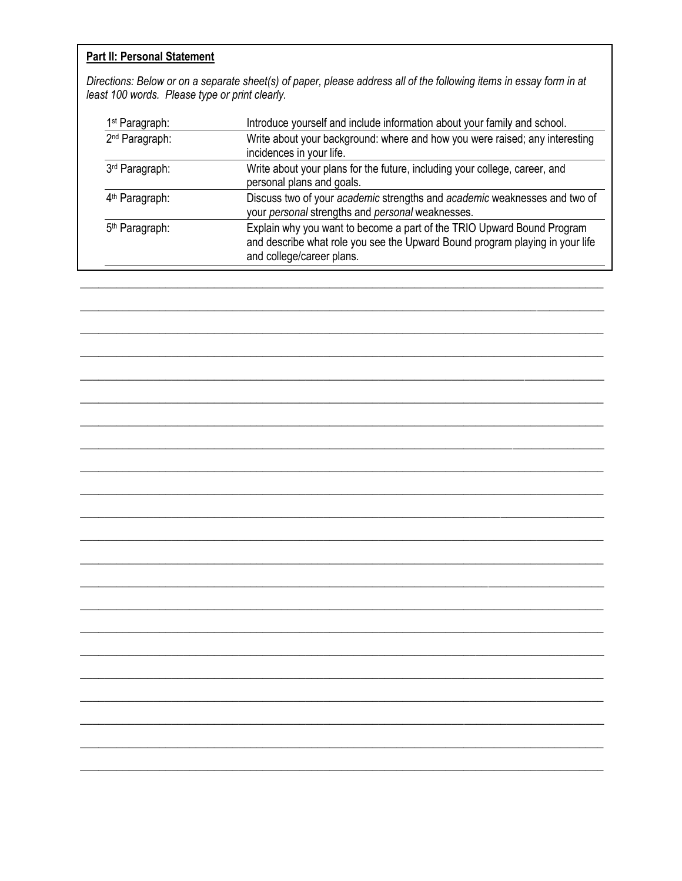# Part II: Personal Statement

Directions: Below or on a separate sheet(s) of paper, please address all of the following items in essay form in at<br>least 100 words. Please type or print clearly.

| 1 <sup>st</sup> Paragraph: | Introduce yourself and include information about your family and school.                                                                                                            |
|----------------------------|-------------------------------------------------------------------------------------------------------------------------------------------------------------------------------------|
| 2 <sup>nd</sup> Paragraph: | Write about your background: where and how you were raised; any interesting<br>incidences in your life.                                                                             |
| 3rd Paragraph:             | Write about your plans for the future, including your college, career, and<br>personal plans and goals.                                                                             |
| 4 <sup>th</sup> Paragraph: | Discuss two of your academic strengths and academic weaknesses and two of<br>your personal strengths and personal weaknesses.                                                       |
| 5 <sup>th</sup> Paragraph: | Explain why you want to become a part of the TRIO Upward Bound Program<br>and describe what role you see the Upward Bound program playing in your life<br>and college/career plans. |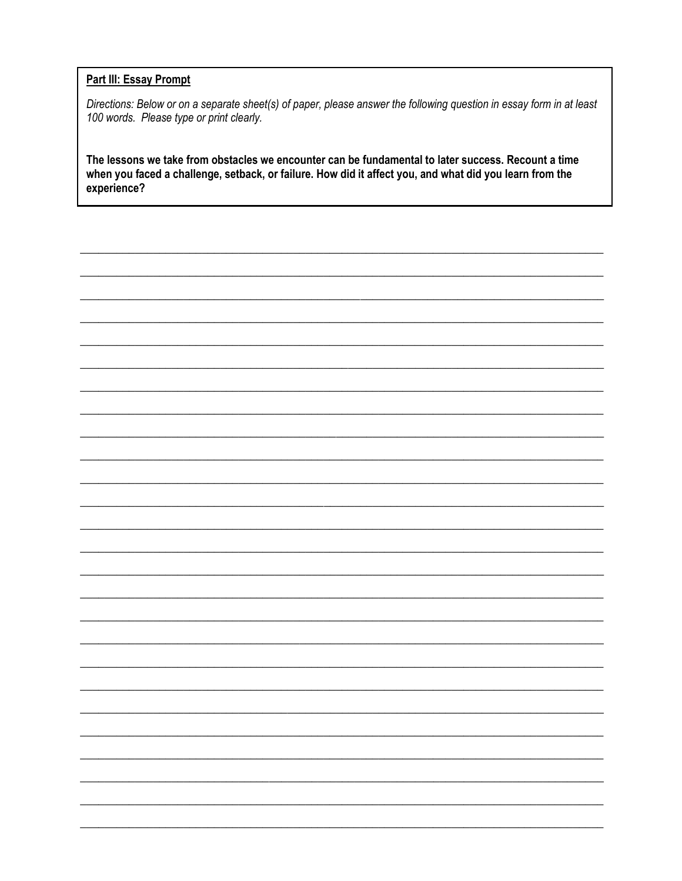# **Part III: Essay Prompt**

Directions: Below or on a separate sheet(s) of paper, please answer the following question in essay form in at least 100 words. Please type or print clearly.

The lessons we take from obstacles we encounter can be fundamental to later success. Recount a time when you faced a challenge, setback, or failure. How did it affect you, and what did you learn from the experience?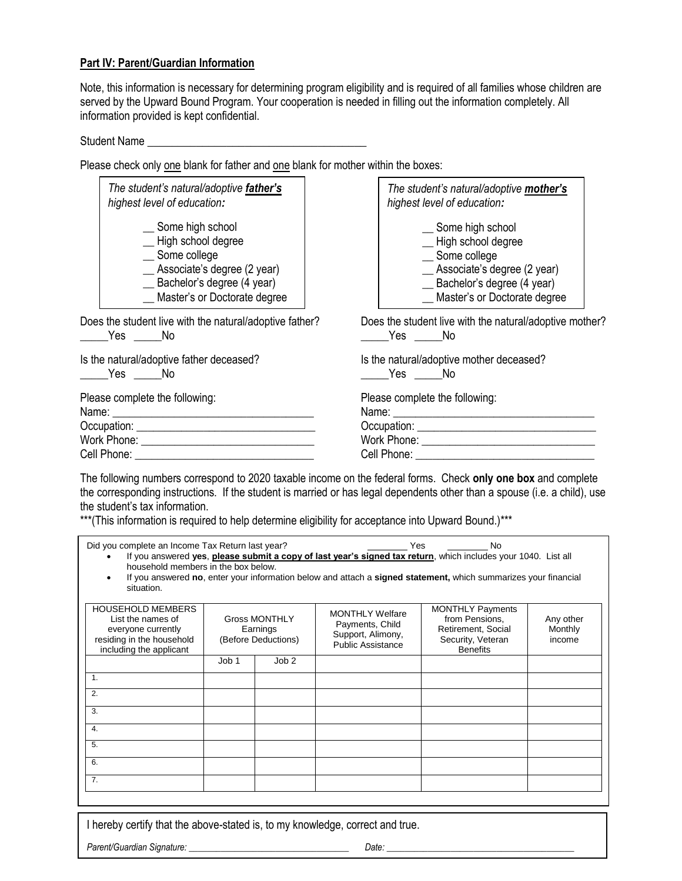### **Part IV: Parent/Guardian Information**

Note, this information is necessary for determining program eligibility and is required of all families whose children are served by the Upward Bound Program. Your cooperation is needed in filling out the information completely. All information provided is kept confidential.

Student Name

Please check only one blank for father and one blank for mother within the boxes:

| The student's natural/adoptive father's<br>highest level of education:                                                                                         | The student's natural/adoptive mother's<br>highest level of education:                                                                                           |  |
|----------------------------------------------------------------------------------------------------------------------------------------------------------------|------------------------------------------------------------------------------------------------------------------------------------------------------------------|--|
| _ Some high school<br>-High school degree<br>_ Some college<br>__ Associate's degree (2 year)<br>_ Bachelor's degree (4 year)<br>_Master's or Doctorate degree | _ Some high school<br>-High school degree<br>_ Some college<br>__ Associate's degree (2 year)<br>__ Bachelor's degree (4 year)<br>_ Master's or Doctorate degree |  |
| Does the student live with the natural/adoptive father?<br>Yes No                                                                                              | Does the student live with the natural/adoptive mother?<br>Yes No                                                                                                |  |
| Is the natural/adoptive father deceased?<br>Yes No                                                                                                             | Is the natural/adoptive mother deceased?<br>Yes No                                                                                                               |  |
| Please complete the following:                                                                                                                                 | Please complete the following:                                                                                                                                   |  |
|                                                                                                                                                                |                                                                                                                                                                  |  |

The following numbers correspond to 2020 taxable income on the federal forms. Check **only one box** and complete the corresponding instructions. If the student is married or has legal dependents other than a spouse (i.e. a child), use the student's tax information.

\*\*\*(This information is required to help determine eligibility for acceptance into Upward Bound.)\*\*\*

| Did you complete an Income Tax Return last year?<br>No<br>Yes<br>If you answered yes, please submit a copy of last year's signed tax return, which includes your 1040. List all<br>household members in the box below.<br>If you answered no, enter your information below and attach a signed statement, which summarizes your financial<br>situation. |       |                                                         |                                                                                            |                                                                                                         |                                |  |
|---------------------------------------------------------------------------------------------------------------------------------------------------------------------------------------------------------------------------------------------------------------------------------------------------------------------------------------------------------|-------|---------------------------------------------------------|--------------------------------------------------------------------------------------------|---------------------------------------------------------------------------------------------------------|--------------------------------|--|
| <b>HOUSEHOLD MEMBERS</b><br>List the names of<br>everyone currently<br>residing in the household<br>including the applicant                                                                                                                                                                                                                             |       | <b>Gross MONTHLY</b><br>Earnings<br>(Before Deductions) | <b>MONTHLY Welfare</b><br>Payments, Child<br>Support, Alimony,<br><b>Public Assistance</b> | <b>MONTHLY Payments</b><br>from Pensions.<br>Retirement, Social<br>Security, Veteran<br><b>Benefits</b> | Any other<br>Monthly<br>income |  |
|                                                                                                                                                                                                                                                                                                                                                         | Job 1 | Job <sub>2</sub>                                        |                                                                                            |                                                                                                         |                                |  |
| 1.                                                                                                                                                                                                                                                                                                                                                      |       |                                                         |                                                                                            |                                                                                                         |                                |  |
| $\overline{2}$ .                                                                                                                                                                                                                                                                                                                                        |       |                                                         |                                                                                            |                                                                                                         |                                |  |
| 3.                                                                                                                                                                                                                                                                                                                                                      |       |                                                         |                                                                                            |                                                                                                         |                                |  |
| 4.                                                                                                                                                                                                                                                                                                                                                      |       |                                                         |                                                                                            |                                                                                                         |                                |  |
| 5.                                                                                                                                                                                                                                                                                                                                                      |       |                                                         |                                                                                            |                                                                                                         |                                |  |
| 6.                                                                                                                                                                                                                                                                                                                                                      |       |                                                         |                                                                                            |                                                                                                         |                                |  |
| 7.                                                                                                                                                                                                                                                                                                                                                      |       |                                                         |                                                                                            |                                                                                                         |                                |  |

I hereby certify that the above-stated is, to my knowledge, correct and true.

*Parent/Guardian Signature: \_\_\_\_\_\_\_\_\_\_\_\_\_\_\_\_\_\_\_\_\_\_\_\_\_\_\_\_\_\_\_\_\_\_\_ Date: \_\_\_\_\_\_\_\_\_\_\_\_\_\_\_\_\_\_\_\_\_\_\_\_\_\_\_\_\_\_\_\_\_\_\_\_\_\_\_\_\_*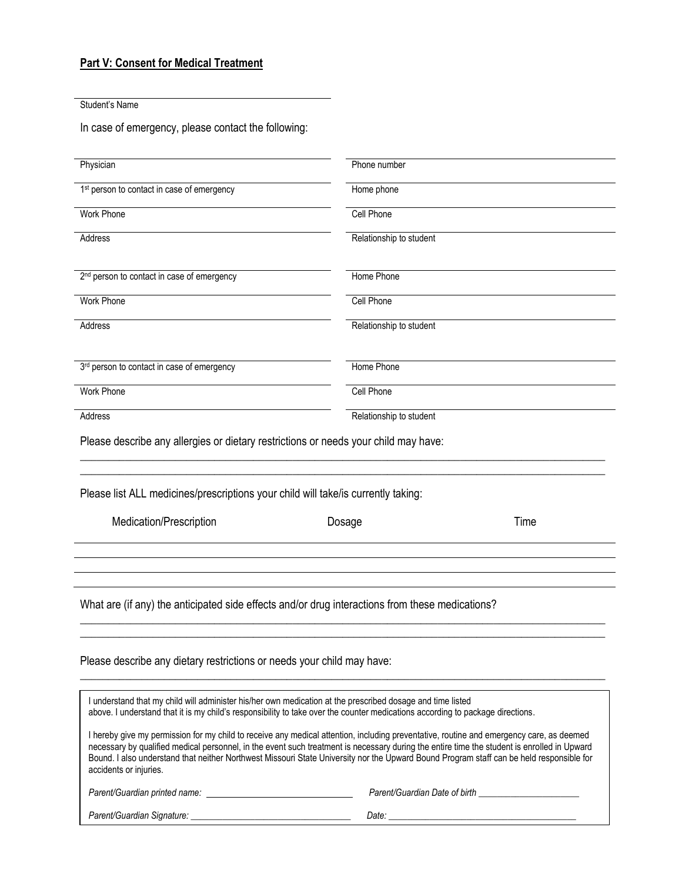# **Part V: Consent for Medical Treatment**

Student's Name

In case of emergency, please contact the following:

| Physician                                                                                                                                                                                                                                    | Phone number                                                                                                                                                                                                                                                                                                                                                                                                                        |
|----------------------------------------------------------------------------------------------------------------------------------------------------------------------------------------------------------------------------------------------|-------------------------------------------------------------------------------------------------------------------------------------------------------------------------------------------------------------------------------------------------------------------------------------------------------------------------------------------------------------------------------------------------------------------------------------|
| 1 <sup>st</sup> person to contact in case of emergency                                                                                                                                                                                       | Home phone                                                                                                                                                                                                                                                                                                                                                                                                                          |
| <b>Work Phone</b>                                                                                                                                                                                                                            | <b>Cell Phone</b>                                                                                                                                                                                                                                                                                                                                                                                                                   |
| Address                                                                                                                                                                                                                                      | Relationship to student                                                                                                                                                                                                                                                                                                                                                                                                             |
| 2 <sup>nd</sup> person to contact in case of emergency                                                                                                                                                                                       | Home Phone                                                                                                                                                                                                                                                                                                                                                                                                                          |
| <b>Work Phone</b>                                                                                                                                                                                                                            | <b>Cell Phone</b>                                                                                                                                                                                                                                                                                                                                                                                                                   |
| Address                                                                                                                                                                                                                                      | Relationship to student                                                                                                                                                                                                                                                                                                                                                                                                             |
| 3rd person to contact in case of emergency                                                                                                                                                                                                   | Home Phone                                                                                                                                                                                                                                                                                                                                                                                                                          |
| Work Phone                                                                                                                                                                                                                                   | <b>Cell Phone</b>                                                                                                                                                                                                                                                                                                                                                                                                                   |
| Address                                                                                                                                                                                                                                      | Relationship to student                                                                                                                                                                                                                                                                                                                                                                                                             |
| Please describe any allergies or dietary restrictions or needs your child may have:                                                                                                                                                          |                                                                                                                                                                                                                                                                                                                                                                                                                                     |
| Please list ALL medicines/prescriptions your child will take/is currently taking:                                                                                                                                                            |                                                                                                                                                                                                                                                                                                                                                                                                                                     |
| Medication/Prescription                                                                                                                                                                                                                      | Time<br>Dosage                                                                                                                                                                                                                                                                                                                                                                                                                      |
|                                                                                                                                                                                                                                              |                                                                                                                                                                                                                                                                                                                                                                                                                                     |
| What are (if any) the anticipated side effects and/or drug interactions from these medications?                                                                                                                                              |                                                                                                                                                                                                                                                                                                                                                                                                                                     |
| Please describe any dietary restrictions or needs your child may have:                                                                                                                                                                       |                                                                                                                                                                                                                                                                                                                                                                                                                                     |
| I understand that my child will administer his/her own medication at the prescribed dosage and time listed<br>above. I understand that it is my child's responsibility to take over the counter medications according to package directions. |                                                                                                                                                                                                                                                                                                                                                                                                                                     |
| accidents or injuries.                                                                                                                                                                                                                       | I hereby give my permission for my child to receive any medical attention, including preventative, routine and emergency care, as deemed<br>necessary by qualified medical personnel, in the event such treatment is necessary during the entire time the student is enrolled in Upward<br>Bound. I also understand that neither Northwest Missouri State University nor the Upward Bound Program staff can be held responsible for |

*Parent/Guardian Signature: \_\_\_\_\_\_\_\_\_\_\_\_\_\_\_\_\_\_\_\_\_\_\_\_\_\_\_\_\_\_\_\_\_\_\_ Date: \_\_\_\_\_\_\_\_\_\_\_\_\_\_\_\_\_\_\_\_\_\_\_\_\_\_\_\_\_\_\_\_\_\_\_\_\_\_\_\_\_*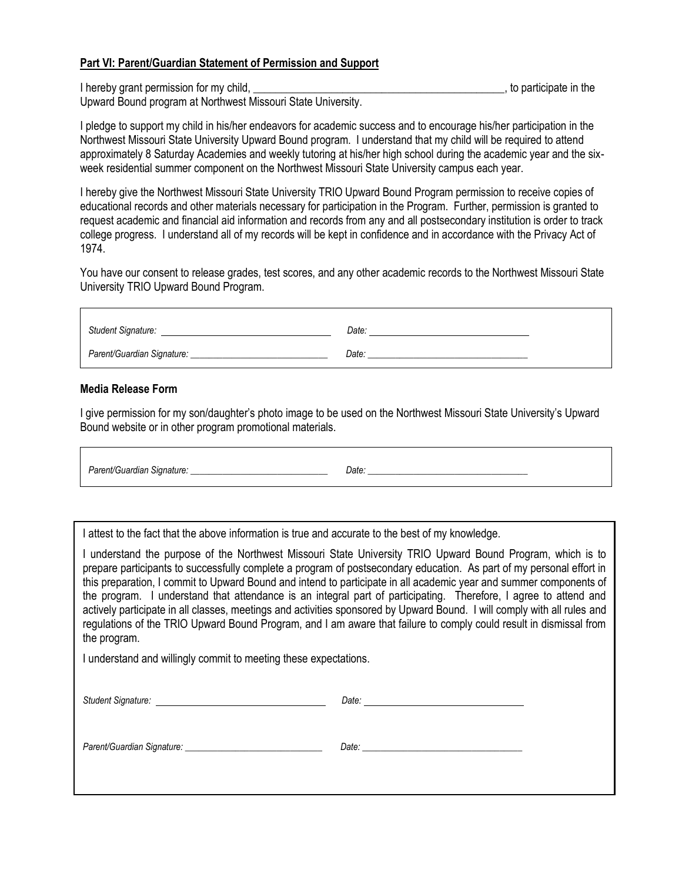### **Part VI: Parent/Guardian Statement of Permission and Support**

I hereby grant permission for my child, the same state in the state in the state in the state in the state in the state in the state in the state in the state in the state in the state in the state in the state in the stat

Upward Bound program at Northwest Missouri State University.

I pledge to support my child in his/her endeavors for academic success and to encourage his/her participation in the Northwest Missouri State University Upward Bound program. I understand that my child will be required to attend approximately 8 Saturday Academies and weekly tutoring at his/her high school during the academic year and the sixweek residential summer component on the Northwest Missouri State University campus each year.

I hereby give the Northwest Missouri State University TRIO Upward Bound Program permission to receive copies of educational records and other materials necessary for participation in the Program. Further, permission is granted to request academic and financial aid information and records from any and all postsecondary institution is order to track college progress. I understand all of my records will be kept in confidence and in accordance with the Privacy Act of 1974.

You have our consent to release grades, test scores, and any other academic records to the Northwest Missouri State University TRIO Upward Bound Program.

| <b>Student Signature:</b>  | Date: |  |
|----------------------------|-------|--|
| Parent/Guardian Signature: | Date: |  |

### **Media Release Form**

I give permission for my son/daughter's photo image to be used on the Northwest Missouri State University's Upward Bound website or in other program promotional materials.

Parent/Guardian Signature: **Example 20 and 20 and 20 and 20 and 20 and 20 and 20 and 20 and 20 and 20 and 20 and 20 and 20 and 20 and 20 and 20 and 20 and 20 and 20 and 20 and 20 and 20 and 20 and 20 and 20 and 20 and 20 a** 

I attest to the fact that the above information is true and accurate to the best of my knowledge.

I understand the purpose of the Northwest Missouri State University TRIO Upward Bound Program, which is to prepare participants to successfully complete a program of postsecondary education. As part of my personal effort in this preparation, I commit to Upward Bound and intend to participate in all academic year and summer components of the program. I understand that attendance is an integral part of participating. Therefore, I agree to attend and actively participate in all classes, meetings and activities sponsored by Upward Bound. I will comply with all rules and regulations of the TRIO Upward Bound Program, and I am aware that failure to comply could result in dismissal from the program.

I understand and willingly commit to meeting these expectations.

| Student Signature: National According of the Student Signature: |                                                                                                                                                                                                                               |
|-----------------------------------------------------------------|-------------------------------------------------------------------------------------------------------------------------------------------------------------------------------------------------------------------------------|
|                                                                 | Date: will be a series of the contract of the contract of the contract of the contract of the contract of the contract of the contract of the contract of the contract of the contract of the contract of the contract of the |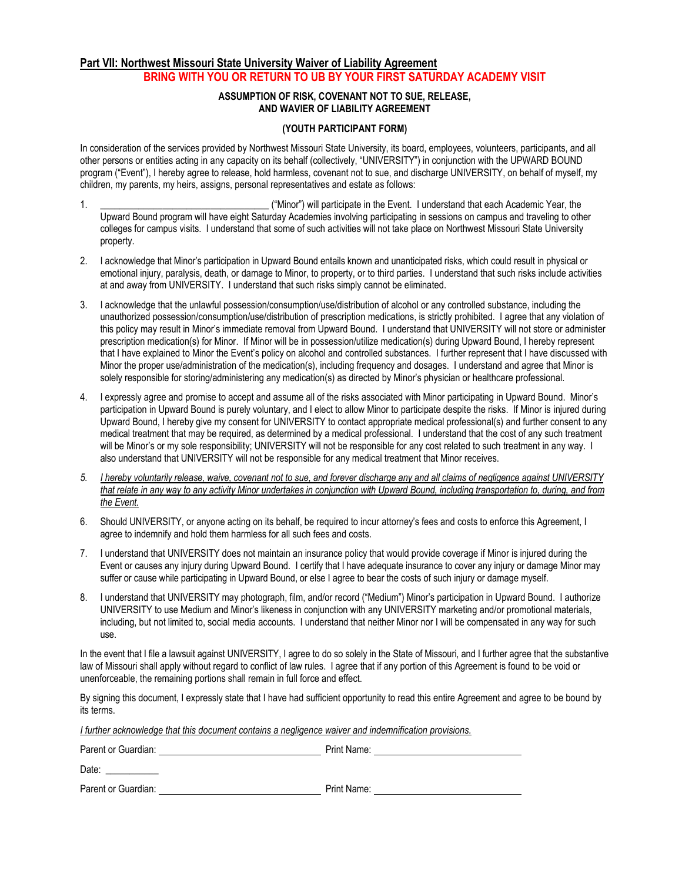### **Part VII: Northwest Missouri State University Waiver of Liability Agreement BRING WITH YOU OR RETURN TO UB BY YOUR FIRST SATURDAY ACADEMY VISIT**

#### **ASSUMPTION OF RISK, COVENANT NOT TO SUE, RELEASE, AND WAVIER OF LIABILITY AGREEMENT**

#### **(YOUTH PARTICIPANT FORM)**

In consideration of the services provided by Northwest Missouri State University, its board, employees, volunteers, participants, and all other persons or entities acting in any capacity on its behalf (collectively, "UNIVERSITY") in conjunction with the UPWARD BOUND program ("Event"), I hereby agree to release, hold harmless, covenant not to sue, and discharge UNIVERSITY, on behalf of myself, my children, my parents, my heirs, assigns, personal representatives and estate as follows:

- 1. \_\_\_\_\_\_\_\_\_\_\_\_\_\_\_\_\_\_\_\_\_\_\_\_\_\_\_\_\_\_\_\_\_\_\_ ("Minor") will participate in the Event. I understand that each Academic Year, the Upward Bound program will have eight Saturday Academies involving participating in sessions on campus and traveling to other colleges for campus visits. I understand that some of such activities will not take place on Northwest Missouri State University property.
- 2. I acknowledge that Minor's participation in Upward Bound entails known and unanticipated risks, which could result in physical or emotional injury, paralysis, death, or damage to Minor, to property, or to third parties. I understand that such risks include activities at and away from UNIVERSITY. I understand that such risks simply cannot be eliminated.
- 3. I acknowledge that the unlawful possession/consumption/use/distribution of alcohol or any controlled substance, including the unauthorized possession/consumption/use/distribution of prescription medications, is strictly prohibited. I agree that any violation of this policy may result in Minor's immediate removal from Upward Bound. I understand that UNIVERSITY will not store or administer prescription medication(s) for Minor. If Minor will be in possession/utilize medication(s) during Upward Bound, I hereby represent that I have explained to Minor the Event's policy on alcohol and controlled substances. I further represent that I have discussed with Minor the proper use/administration of the medication(s), including frequency and dosages. I understand and agree that Minor is solely responsible for storing/administering any medication(s) as directed by Minor's physician or healthcare professional.
- 4. I expressly agree and promise to accept and assume all of the risks associated with Minor participating in Upward Bound. Minor's participation in Upward Bound is purely voluntary, and I elect to allow Minor to participate despite the risks. If Minor is injured during Upward Bound, I hereby give my consent for UNIVERSITY to contact appropriate medical professional(s) and further consent to any medical treatment that may be required, as determined by a medical professional. I understand that the cost of any such treatment will be Minor's or my sole responsibility; UNIVERSITY will not be responsible for any cost related to such treatment in any way. I also understand that UNIVERSITY will not be responsible for any medical treatment that Minor receives.
- *5. I hereby voluntarily release, waive, covenant not to sue, and forever discharge any and all claims of negligence against UNIVERSITY that relate in any way to any activity Minor undertakes in conjunction with Upward Bound, including transportation to, during, and from the Event.*
- 6. Should UNIVERSITY, or anyone acting on its behalf, be required to incur attorney's fees and costs to enforce this Agreement, I agree to indemnify and hold them harmless for all such fees and costs.
- 7. I understand that UNIVERSITY does not maintain an insurance policy that would provide coverage if Minor is injured during the Event or causes any injury during Upward Bound. I certify that I have adequate insurance to cover any injury or damage Minor may suffer or cause while participating in Upward Bound, or else I agree to bear the costs of such injury or damage myself.
- 8. I understand that UNIVERSITY may photograph, film, and/or record ("Medium") Minor's participation in Upward Bound. I authorize UNIVERSITY to use Medium and Minor's likeness in conjunction with any UNIVERSITY marketing and/or promotional materials, including, but not limited to, social media accounts. I understand that neither Minor nor I will be compensated in any way for such use.

In the event that I file a lawsuit against UNIVERSITY, I agree to do so solely in the State of Missouri, and I further agree that the substantive law of Missouri shall apply without regard to conflict of law rules. I agree that if any portion of this Agreement is found to be void or unenforceable, the remaining portions shall remain in full force and effect.

By signing this document, I expressly state that I have had sufficient opportunity to read this entire Agreement and agree to be bound by its terms.

*I further acknowledge that this document contains a negligence waiver and indemnification provisions.*

| Parent or Guardian: | Print Name: |
|---------------------|-------------|
| Date:               |             |
| Parent or Guardian: | Print Name: |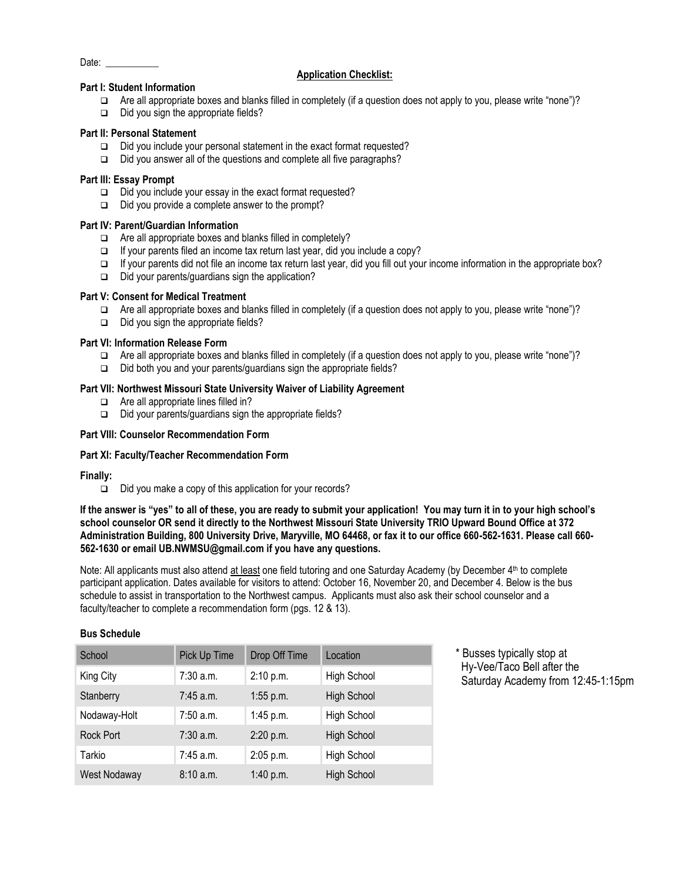```
Date:
```
#### **Application Checklist:**

### **Part I: Student Information**

- ❑ Are all appropriate boxes and blanks filled in completely (if a question does not apply to you, please write "none")?
- ❑ Did you sign the appropriate fields?

#### **Part II: Personal Statement**

- ❑ Did you include your personal statement in the exact format requested?
- ❑ Did you answer all of the questions and complete all five paragraphs?

#### **Part III: Essay Prompt**

- ❑ Did you include your essay in the exact format requested?
- ❑ Did you provide a complete answer to the prompt?

#### **Part IV: Parent/Guardian Information**

- ❑ Are all appropriate boxes and blanks filled in completely?
- ❑ If your parents filed an income tax return last year, did you include a copy?
- ❑ If your parents did not file an income tax return last year, did you fill out your income information in the appropriate box?
- ❑ Did your parents/guardians sign the application?

#### **Part V: Consent for Medical Treatment**

- ❑ Are all appropriate boxes and blanks filled in completely (if a question does not apply to you, please write "none")?
- ❑ Did you sign the appropriate fields?

#### **Part VI: Information Release Form**

- ❑ Are all appropriate boxes and blanks filled in completely (if a question does not apply to you, please write "none")?
- ❑ Did both you and your parents/guardians sign the appropriate fields?

#### **Part VII: Northwest Missouri State University Waiver of Liability Agreement**

- ❑ Are all appropriate lines filled in?
- ❑ Did your parents/guardians sign the appropriate fields?

#### **Part VIII: Counselor Recommendation Form**

#### **Part XI: Faculty/Teacher Recommendation Form**

#### **Finally:**

❑ Did you make a copy of this application for your records?

**If the answer is "yes" to all of these, you are ready to submit your application! You may turn it in to your high school's school counselor OR send it directly to the Northwest Missouri State University TRIO Upward Bound Office at 372 Administration Building, 800 University Drive, Maryville, MO 64468, or fax it to our office 660-562-1631. Please call 660- 562-1630 or email UB.NWMSU@gmail.com if you have any questions.**

Note: All applicants must also attend at least one field tutoring and one Saturday Academy (by December 4<sup>th</sup> to complete participant application. Dates available for visitors to attend: October 16, November 20, and December 4. Below is the bus schedule to assist in transportation to the Northwest campus. Applicants must also ask their school counselor and a faculty/teacher to complete a recommendation form (pgs. 12 & 13).

#### **Bus Schedule**

| School           | Pick Up Time | Drop Off Time | Location           |
|------------------|--------------|---------------|--------------------|
| King City        | 7:30 a.m.    | 2:10 p.m.     | High School        |
| Stanberry        | $7:45$ a.m.  | 1:55 p.m.     | <b>High School</b> |
| Nodaway-Holt     | $7:50$ a.m.  | 1:45 p.m.     | High School        |
| <b>Rock Port</b> | $7:30$ a.m.  | 2:20 p.m.     | <b>High School</b> |
| Tarkio           | 7:45 a.m.    | 2:05 p.m.     | High School        |
| West Nodaway     | 8:10a.m.     | 1:40 p.m.     | <b>High School</b> |

\* Busses typically stop at Hy-Vee/Taco Bell after the Saturday Academy from 12:45-1:15pm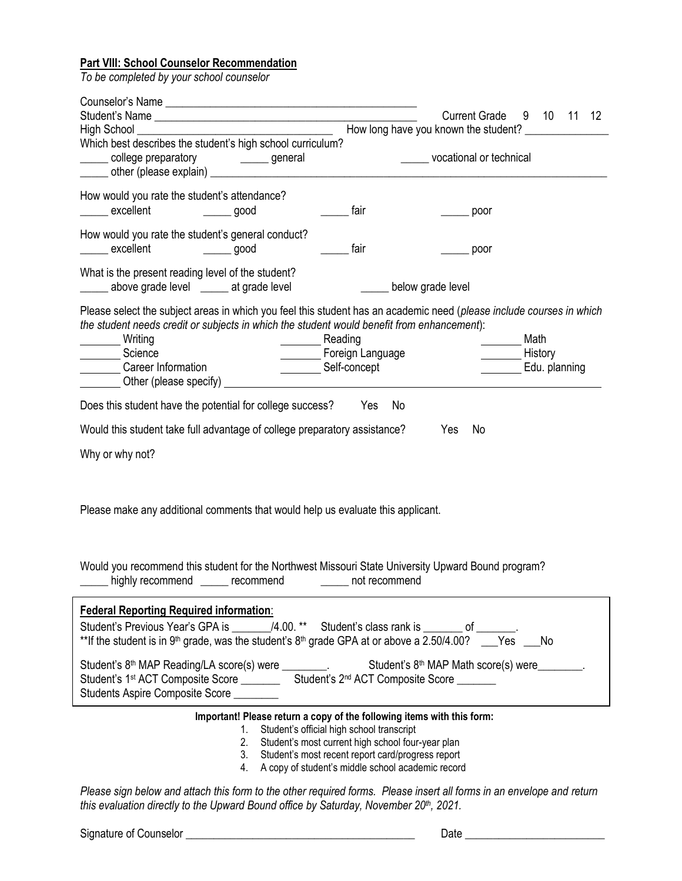# **Part VIII: School Counselor Recommendation**

*To be completed by your school counselor*

|                                                                                                                                                                                                                                                                                                                                                                                                                                                                                   | How long have you known the student? ________________ | Current Grade 9 10 11 12       |                 |               |  |
|-----------------------------------------------------------------------------------------------------------------------------------------------------------------------------------------------------------------------------------------------------------------------------------------------------------------------------------------------------------------------------------------------------------------------------------------------------------------------------------|-------------------------------------------------------|--------------------------------|-----------------|---------------|--|
| Which best describes the student's high school curriculum?<br>____ college preparatory _______ general                                                                                                                                                                                                                                                                                                                                                                            |                                                       | ______ vocational or technical |                 |               |  |
| How would you rate the student's attendance?<br>excellent<br>$\frac{1}{\sqrt{1-\frac{1}{2}}\sqrt{1-\frac{1}{2}}\sqrt{1-\frac{1}{2}}\sqrt{1-\frac{1}{2}}\sqrt{1-\frac{1}{2}}\sqrt{1-\frac{1}{2}}\sqrt{1-\frac{1}{2}}\sqrt{1-\frac{1}{2}}\sqrt{1-\frac{1}{2}}\sqrt{1-\frac{1}{2}}\sqrt{1-\frac{1}{2}}\sqrt{1-\frac{1}{2}}\sqrt{1-\frac{1}{2}}\sqrt{1-\frac{1}{2}}\sqrt{1-\frac{1}{2}}\sqrt{1-\frac{1}{2}}\sqrt{1-\frac{1}{2}}\sqrt{1-\frac{1}{2}}\sqrt{1-\frac{1}{2}}\sqrt{1-\frac$ | fair                                                  | poor                           |                 |               |  |
| How would you rate the student's general conduct?<br>excellent ________ good                                                                                                                                                                                                                                                                                                                                                                                                      | fair                                                  | poor                           |                 |               |  |
| What is the present reading level of the student?<br>above grade level ______ at grade level                                                                                                                                                                                                                                                                                                                                                                                      | below grade level                                     |                                |                 |               |  |
| Please select the subject areas in which you feel this student has an academic need (please include courses in which<br>the student needs credit or subjects in which the student would benefit from enhancement):<br>Writing<br>Reading<br>Foreign Language<br>Science<br><b>Career Information</b><br>Self-concept                                                                                                                                                              |                                                       |                                | Math<br>History | Edu. planning |  |
| Does this student have the potential for college success?                                                                                                                                                                                                                                                                                                                                                                                                                         | Yes No                                                |                                |                 |               |  |
| Would this student take full advantage of college preparatory assistance?                                                                                                                                                                                                                                                                                                                                                                                                         |                                                       | No<br>Yes                      |                 |               |  |
| Why or why not?                                                                                                                                                                                                                                                                                                                                                                                                                                                                   |                                                       |                                |                 |               |  |
| Please make any additional comments that would help us evaluate this applicant.                                                                                                                                                                                                                                                                                                                                                                                                   |                                                       |                                |                 |               |  |
| Would you recommend this student for the Northwest Missouri State University Upward Bound program?<br>______ highly recommend ______ recommend ________ not recommend                                                                                                                                                                                                                                                                                                             |                                                       |                                |                 |               |  |
| <b>Federal Reporting Required information:</b><br>Student's Previous Year's GPA is ________/4.00. ** Student's class rank is _______ of _______.<br>**If the student is in 9th grade, was the student's 8th grade GPA at or above a 2.50/4.00? ___Yes ___No                                                                                                                                                                                                                       |                                                       |                                |                 |               |  |
| Student's 8 <sup>th</sup> MAP Reading/LA score(s) were ________. Student's 8 <sup>th</sup> MAP Math score(s) were _______.<br>Student's 1st ACT Composite Score ____________ Student's 2 <sup>nd</sup> ACT Composite Score _______<br>Students Aspire Composite Score ________                                                                                                                                                                                                    |                                                       |                                |                 |               |  |
| Important! Please return a copy of the following items with this form:<br>1. Student's official high school transcript<br>2. Student's most current high school four-year plan<br>3. Student's most recent report card/progress report<br>4. A copy of student's middle school academic record                                                                                                                                                                                    |                                                       |                                |                 |               |  |

*Please sign below and attach this form to the other required forms. Please insert all forms in an envelope and return this evaluation directly to the Upward Bound office by Saturday, November 20th, 2021.*

Signature of Counselor \_\_\_\_\_\_\_\_\_\_\_\_\_\_\_\_\_\_\_\_\_\_\_\_\_\_\_\_\_\_\_\_\_\_\_\_\_\_\_\_\_ Date \_\_\_\_\_\_\_\_\_\_\_\_\_\_\_\_\_\_\_\_\_\_\_\_\_